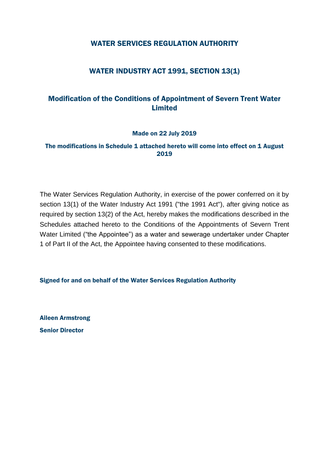### WATER SERVICES REGULATION AUTHORITY

## WATER INDUSTRY ACT 1991, SECTION 13(1)

## Modification of the Conditions of Appointment of Severn Trent Water Limited

#### Made on 22 July 2019

### The modifications in Schedule 1 attached hereto will come into effect on 1 August 2019

The Water Services Regulation Authority, in exercise of the power conferred on it by section 13(1) of the Water Industry Act 1991 ("the 1991 Act"), after giving notice as required by section 13(2) of the Act, hereby makes the modifications described in the Schedules attached hereto to the Conditions of the Appointments of Severn Trent Water Limited ("the Appointee") as a water and sewerage undertaker under Chapter 1 of Part II of the Act, the Appointee having consented to these modifications.

Signed for and on behalf of the Water Services Regulation Authority

Aileen Armstrong Senior Director